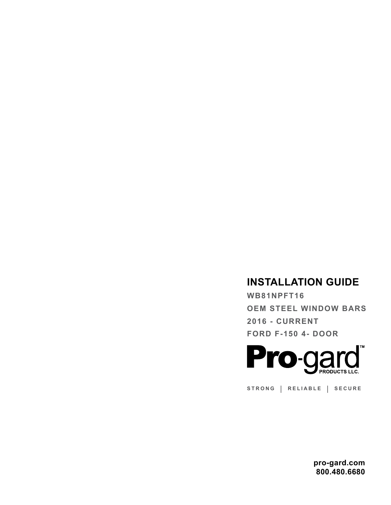## **INSTALLATION GUIDE**

**WB81NPFT16 OEM STEEL WINDOW BARS 2016 - CURRENT FORD F-150 4- DOOR**



**STRONG | RELIABLE | SECURE**

**pro-gard.com 800.480.6680**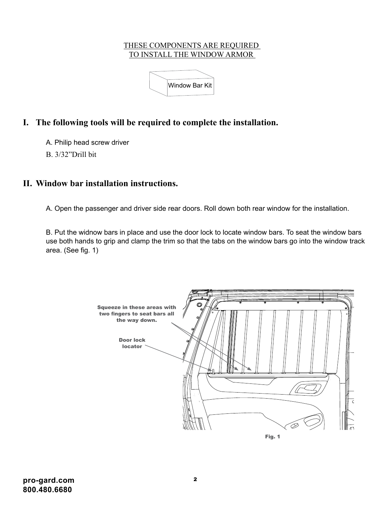## THESE COMPONENTS ARE REQUIRED TO INSTALL THE WINDOW ARMOR



## **I. The following tools will be required to complete the installation.**

A. Philip head screw driver

B. 3/32"Drill bit

## **II. Window bar installation instructions.** 4

A. Open the passenger and driver side rear doors. Roll down both rear window for the installation.

B. Put the widnow bars in place and use the door lock to locate window bars. To seat the window bars use both hands to grip and clamp the trim so that the tabs on the window bars go into the window track area. (See fig. 1)